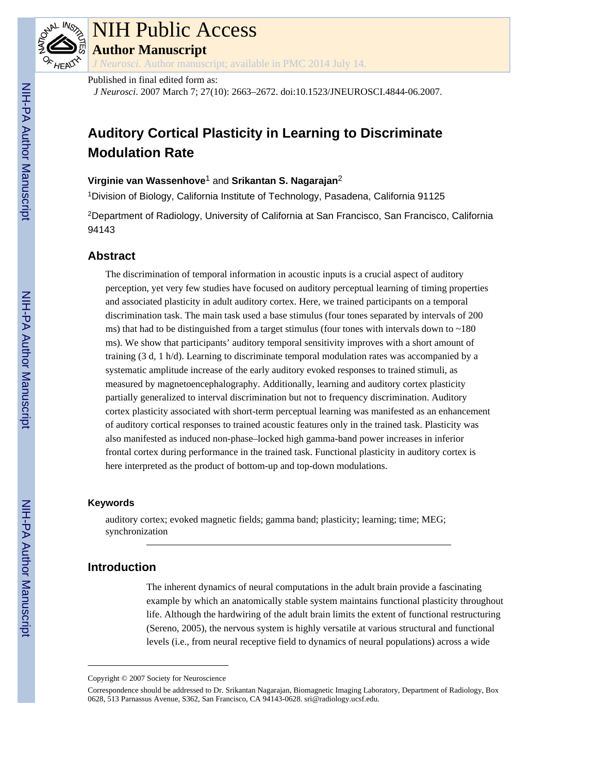

# NIH Public Access

**Author Manuscript**

*J Neurosci*. Author manuscript; available in PMC 2014 July 14.

## Published in final edited form as:

*J Neurosci*. 2007 March 7; 27(10): 2663–2672. doi:10.1523/JNEUROSCI.4844-06.2007.

## **Auditory Cortical Plasticity in Learning to Discriminate Modulation Rate**

## **Virginie van Wassenhove**1 and **Srikantan S. Nagarajan**<sup>2</sup>

<sup>1</sup>Division of Biology, California Institute of Technology, Pasadena, California 91125

<sup>2</sup>Department of Radiology, University of California at San Francisco, San Francisco, California 94143

## **Abstract**

The discrimination of temporal information in acoustic inputs is a crucial aspect of auditory perception, yet very few studies have focused on auditory perceptual learning of timing properties and associated plasticity in adult auditory cortex. Here, we trained participants on a temporal discrimination task. The main task used a base stimulus (four tones separated by intervals of 200 ms) that had to be distinguished from a target stimulus (four tones with intervals down to  $\sim$ 180 ms). We show that participants' auditory temporal sensitivity improves with a short amount of training (3 d, 1 h/d). Learning to discriminate temporal modulation rates was accompanied by a systematic amplitude increase of the early auditory evoked responses to trained stimuli, as measured by magnetoencephalography. Additionally, learning and auditory cortex plasticity partially generalized to interval discrimination but not to frequency discrimination. Auditory cortex plasticity associated with short-term perceptual learning was manifested as an enhancement of auditory cortical responses to trained acoustic features only in the trained task. Plasticity was also manifested as induced non-phase–locked high gamma-band power increases in inferior frontal cortex during performance in the trained task. Functional plasticity in auditory cortex is here interpreted as the product of bottom-up and top-down modulations.

#### **Keywords**

auditory cortex; evoked magnetic fields; gamma band; plasticity; learning; time; MEG; synchronization

## **Introduction**

The inherent dynamics of neural computations in the adult brain provide a fascinating example by which an anatomically stable system maintains functional plasticity throughout life. Although the hardwiring of the adult brain limits the extent of functional restructuring (Sereno, 2005), the nervous system is highly versatile at various structural and functional levels (i.e., from neural receptive field to dynamics of neural populations) across a wide

Copyright © 2007 Society for Neuroscience

Correspondence should be addressed to Dr. Srikantan Nagarajan, Biomagnetic Imaging Laboratory, Department of Radiology, Box 0628, 513 Parnassus Avenue, S362, San Francisco, CA 94143-0628. sri@radiology.ucsf.edu.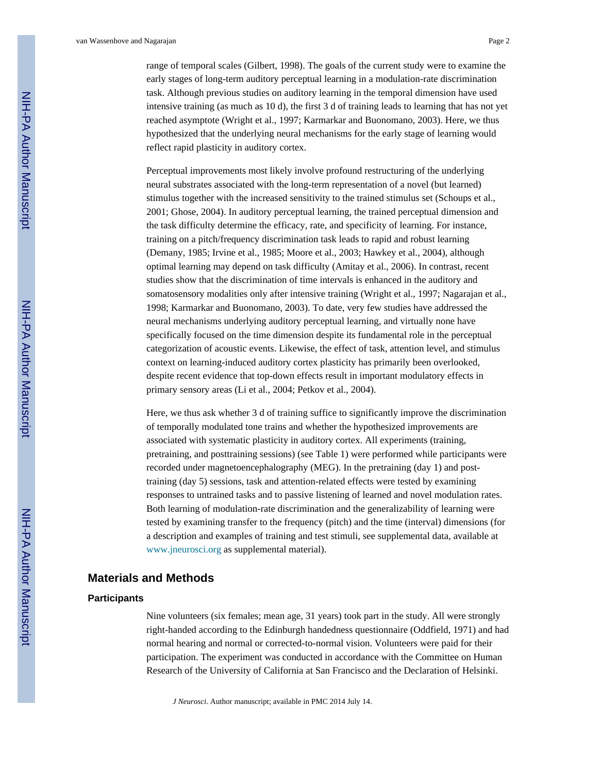range of temporal scales (Gilbert, 1998). The goals of the current study were to examine the early stages of long-term auditory perceptual learning in a modulation-rate discrimination task. Although previous studies on auditory learning in the temporal dimension have used intensive training (as much as 10 d), the first 3 d of training leads to learning that has not yet reached asymptote (Wright et al., 1997; Karmarkar and Buonomano, 2003). Here, we thus hypothesized that the underlying neural mechanisms for the early stage of learning would reflect rapid plasticity in auditory cortex.

Perceptual improvements most likely involve profound restructuring of the underlying neural substrates associated with the long-term representation of a novel (but learned) stimulus together with the increased sensitivity to the trained stimulus set (Schoups et al., 2001; Ghose, 2004). In auditory perceptual learning, the trained perceptual dimension and the task difficulty determine the efficacy, rate, and specificity of learning. For instance, training on a pitch/frequency discrimination task leads to rapid and robust learning (Demany, 1985; Irvine et al., 1985; Moore et al., 2003; Hawkey et al., 2004), although optimal learning may depend on task difficulty (Amitay et al., 2006). In contrast, recent studies show that the discrimination of time intervals is enhanced in the auditory and somatosensory modalities only after intensive training (Wright et al., 1997; Nagarajan et al., 1998; Karmarkar and Buonomano, 2003). To date, very few studies have addressed the neural mechanisms underlying auditory perceptual learning, and virtually none have specifically focused on the time dimension despite its fundamental role in the perceptual categorization of acoustic events. Likewise, the effect of task, attention level, and stimulus context on learning-induced auditory cortex plasticity has primarily been overlooked, despite recent evidence that top-down effects result in important modulatory effects in primary sensory areas (Li et al., 2004; Petkov et al., 2004).

Here, we thus ask whether 3 d of training suffice to significantly improve the discrimination of temporally modulated tone trains and whether the hypothesized improvements are associated with systematic plasticity in auditory cortex. All experiments (training, pretraining, and posttraining sessions) (see Table 1) were performed while participants were recorded under magnetoencephalography (MEG). In the pretraining (day 1) and posttraining (day 5) sessions, task and attention-related effects were tested by examining responses to untrained tasks and to passive listening of learned and novel modulation rates. Both learning of modulation-rate discrimination and the generalizability of learning were tested by examining transfer to the frequency (pitch) and the time (interval) dimensions (for a description and examples of training and test stimuli, see supplemental data, available at www.jneurosci.org as supplemental material).

## **Materials and Methods**

#### **Participants**

Nine volunteers (six females; mean age, 31 years) took part in the study. All were strongly right-handed according to the Edinburgh handedness questionnaire (Oddfield, 1971) and had normal hearing and normal or corrected-to-normal vision. Volunteers were paid for their participation. The experiment was conducted in accordance with the Committee on Human Research of the University of California at San Francisco and the Declaration of Helsinki.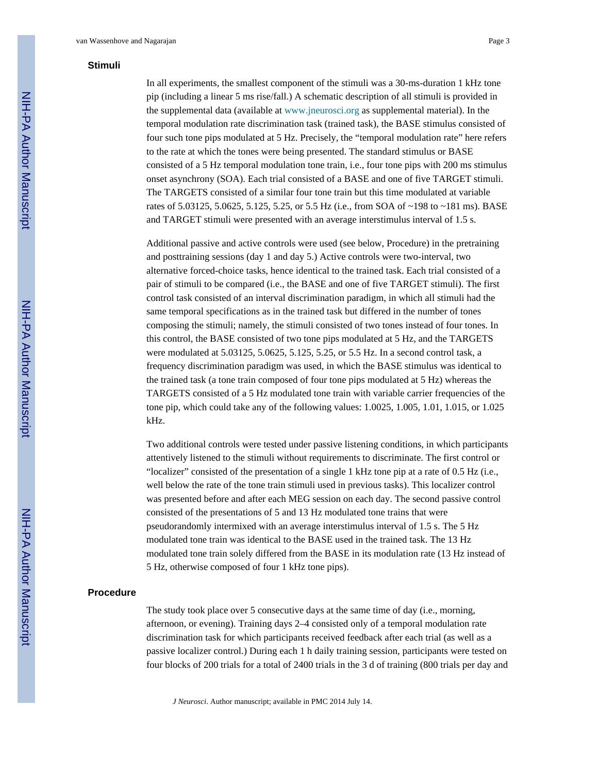## **Stimuli**

In all experiments, the smallest component of the stimuli was a 30-ms-duration 1 kHz tone pip (including a linear 5 ms rise/fall.) A schematic description of all stimuli is provided in the supplemental data (available at www.jneurosci.org as supplemental material). In the temporal modulation rate discrimination task (trained task), the BASE stimulus consisted of four such tone pips modulated at 5 Hz. Precisely, the "temporal modulation rate" here refers to the rate at which the tones were being presented. The standard stimulus or BASE consisted of a 5 Hz temporal modulation tone train, i.e., four tone pips with 200 ms stimulus onset asynchrony (SOA). Each trial consisted of a BASE and one of five TARGET stimuli. The TARGETS consisted of a similar four tone train but this time modulated at variable rates of 5.03125, 5.0625, 5.125, 5.25, or 5.5 Hz (i.e., from SOA of ~198 to ~181 ms). BASE and TARGET stimuli were presented with an average interstimulus interval of 1.5 s.

Additional passive and active controls were used (see below, Procedure) in the pretraining and posttraining sessions (day 1 and day 5.) Active controls were two-interval, two alternative forced-choice tasks, hence identical to the trained task. Each trial consisted of a pair of stimuli to be compared (i.e., the BASE and one of five TARGET stimuli). The first control task consisted of an interval discrimination paradigm, in which all stimuli had the same temporal specifications as in the trained task but differed in the number of tones composing the stimuli; namely, the stimuli consisted of two tones instead of four tones. In this control, the BASE consisted of two tone pips modulated at 5 Hz, and the TARGETS were modulated at 5.03125, 5.0625, 5.125, 5.25, or 5.5 Hz. In a second control task, a frequency discrimination paradigm was used, in which the BASE stimulus was identical to the trained task (a tone train composed of four tone pips modulated at 5 Hz) whereas the TARGETS consisted of a 5 Hz modulated tone train with variable carrier frequencies of the tone pip, which could take any of the following values: 1.0025, 1.005, 1.01, 1.015, or 1.025 kHz.

Two additional controls were tested under passive listening conditions, in which participants attentively listened to the stimuli without requirements to discriminate. The first control or "localizer" consisted of the presentation of a single 1 kHz tone pip at a rate of 0.5 Hz (i.e., well below the rate of the tone train stimuli used in previous tasks). This localizer control was presented before and after each MEG session on each day. The second passive control consisted of the presentations of 5 and 13 Hz modulated tone trains that were pseudorandomly intermixed with an average interstimulus interval of 1.5 s. The 5 Hz modulated tone train was identical to the BASE used in the trained task. The 13 Hz modulated tone train solely differed from the BASE in its modulation rate (13 Hz instead of 5 Hz, otherwise composed of four 1 kHz tone pips).

#### **Procedure**

The study took place over 5 consecutive days at the same time of day (i.e., morning, afternoon, or evening). Training days 2–4 consisted only of a temporal modulation rate discrimination task for which participants received feedback after each trial (as well as a passive localizer control.) During each 1 h daily training session, participants were tested on four blocks of 200 trials for a total of 2400 trials in the 3 d of training (800 trials per day and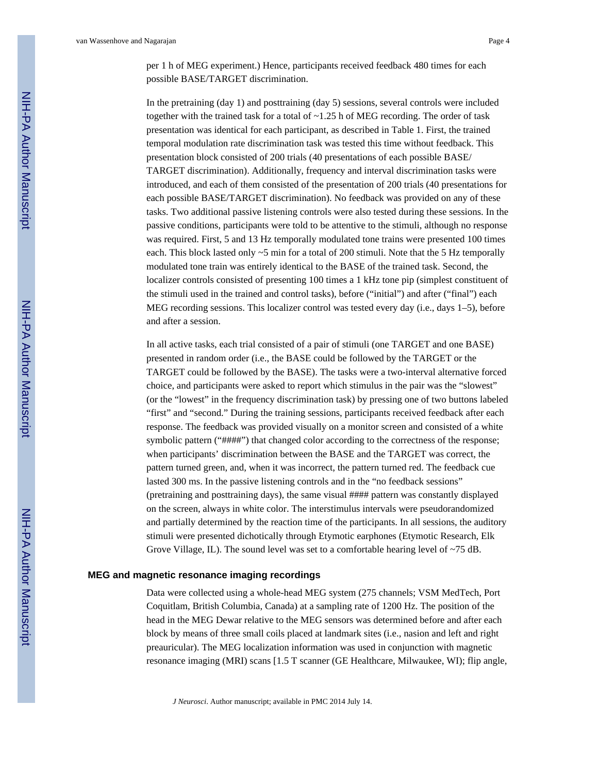per 1 h of MEG experiment.) Hence, participants received feedback 480 times for each possible BASE/TARGET discrimination.

In the pretraining (day 1) and posttraining (day 5) sessions, several controls were included together with the trained task for a total of  $\sim$ 1.25 h of MEG recording. The order of task presentation was identical for each participant, as described in Table 1. First, the trained temporal modulation rate discrimination task was tested this time without feedback. This presentation block consisted of 200 trials (40 presentations of each possible BASE/ TARGET discrimination). Additionally, frequency and interval discrimination tasks were introduced, and each of them consisted of the presentation of 200 trials (40 presentations for each possible BASE/TARGET discrimination). No feedback was provided on any of these tasks. Two additional passive listening controls were also tested during these sessions. In the passive conditions, participants were told to be attentive to the stimuli, although no response was required. First, 5 and 13 Hz temporally modulated tone trains were presented 100 times each. This block lasted only ~5 min for a total of 200 stimuli. Note that the 5 Hz temporally modulated tone train was entirely identical to the BASE of the trained task. Second, the localizer controls consisted of presenting 100 times a 1 kHz tone pip (simplest constituent of the stimuli used in the trained and control tasks), before ("initial") and after ("final") each MEG recording sessions. This localizer control was tested every day (i.e., days 1–5), before and after a session.

In all active tasks, each trial consisted of a pair of stimuli (one TARGET and one BASE) presented in random order (i.e., the BASE could be followed by the TARGET or the TARGET could be followed by the BASE). The tasks were a two-interval alternative forced choice, and participants were asked to report which stimulus in the pair was the "slowest" (or the "lowest" in the frequency discrimination task) by pressing one of two buttons labeled "first" and "second." During the training sessions, participants received feedback after each response. The feedback was provided visually on a monitor screen and consisted of a white symbolic pattern ("####") that changed color according to the correctness of the response; when participants' discrimination between the BASE and the TARGET was correct, the pattern turned green, and, when it was incorrect, the pattern turned red. The feedback cue lasted 300 ms. In the passive listening controls and in the "no feedback sessions" (pretraining and posttraining days), the same visual #### pattern was constantly displayed on the screen, always in white color. The interstimulus intervals were pseudorandomized and partially determined by the reaction time of the participants. In all sessions, the auditory stimuli were presented dichotically through Etymotic earphones (Etymotic Research, Elk Grove Village, IL). The sound level was set to a comfortable hearing level of ~75 dB.

#### **MEG and magnetic resonance imaging recordings**

Data were collected using a whole-head MEG system (275 channels; VSM MedTech, Port Coquitlam, British Columbia, Canada) at a sampling rate of 1200 Hz. The position of the head in the MEG Dewar relative to the MEG sensors was determined before and after each block by means of three small coils placed at landmark sites (i.e., nasion and left and right preauricular). The MEG localization information was used in conjunction with magnetic resonance imaging (MRI) scans [1.5 T scanner (GE Healthcare, Milwaukee, WI); flip angle,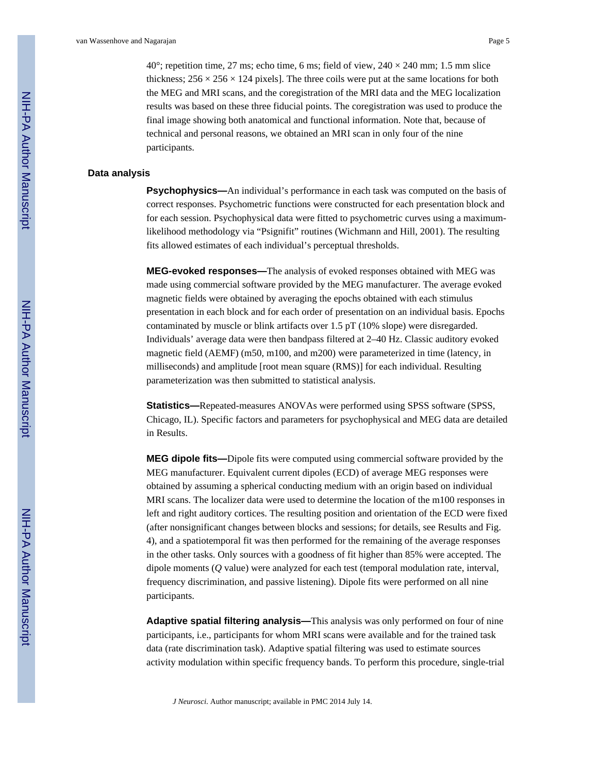$40^{\circ}$ ; repetition time, 27 ms; echo time, 6 ms; field of view,  $240 \times 240$  mm; 1.5 mm slice thickness;  $256 \times 256 \times 124$  pixels]. The three coils were put at the same locations for both the MEG and MRI scans, and the coregistration of the MRI data and the MEG localization results was based on these three fiducial points. The coregistration was used to produce the final image showing both anatomical and functional information. Note that, because of technical and personal reasons, we obtained an MRI scan in only four of the nine participants.

#### **Data analysis**

**Psychophysics—**An individual's performance in each task was computed on the basis of correct responses. Psychometric functions were constructed for each presentation block and for each session. Psychophysical data were fitted to psychometric curves using a maximumlikelihood methodology via "Psignifit" routines (Wichmann and Hill, 2001). The resulting fits allowed estimates of each individual's perceptual thresholds.

**MEG-evoked responses—**The analysis of evoked responses obtained with MEG was made using commercial software provided by the MEG manufacturer. The average evoked magnetic fields were obtained by averaging the epochs obtained with each stimulus presentation in each block and for each order of presentation on an individual basis. Epochs contaminated by muscle or blink artifacts over 1.5 pT (10% slope) were disregarded. Individuals' average data were then bandpass filtered at 2–40 Hz. Classic auditory evoked magnetic field (AEMF) (m50, m100, and m200) were parameterized in time (latency, in milliseconds) and amplitude [root mean square (RMS)] for each individual. Resulting parameterization was then submitted to statistical analysis.

**Statistics—**Repeated-measures ANOVAs were performed using SPSS software (SPSS, Chicago, IL). Specific factors and parameters for psychophysical and MEG data are detailed in Results.

**MEG dipole fits—**Dipole fits were computed using commercial software provided by the MEG manufacturer. Equivalent current dipoles (ECD) of average MEG responses were obtained by assuming a spherical conducting medium with an origin based on individual MRI scans. The localizer data were used to determine the location of the m100 responses in left and right auditory cortices. The resulting position and orientation of the ECD were fixed (after nonsignificant changes between blocks and sessions; for details, see Results and Fig. 4), and a spatiotemporal fit was then performed for the remaining of the average responses in the other tasks. Only sources with a goodness of fit higher than 85% were accepted. The dipole moments (*Q* value) were analyzed for each test (temporal modulation rate, interval, frequency discrimination, and passive listening). Dipole fits were performed on all nine participants.

**Adaptive spatial filtering analysis—**This analysis was only performed on four of nine participants, i.e., participants for whom MRI scans were available and for the trained task data (rate discrimination task). Adaptive spatial filtering was used to estimate sources activity modulation within specific frequency bands. To perform this procedure, single-trial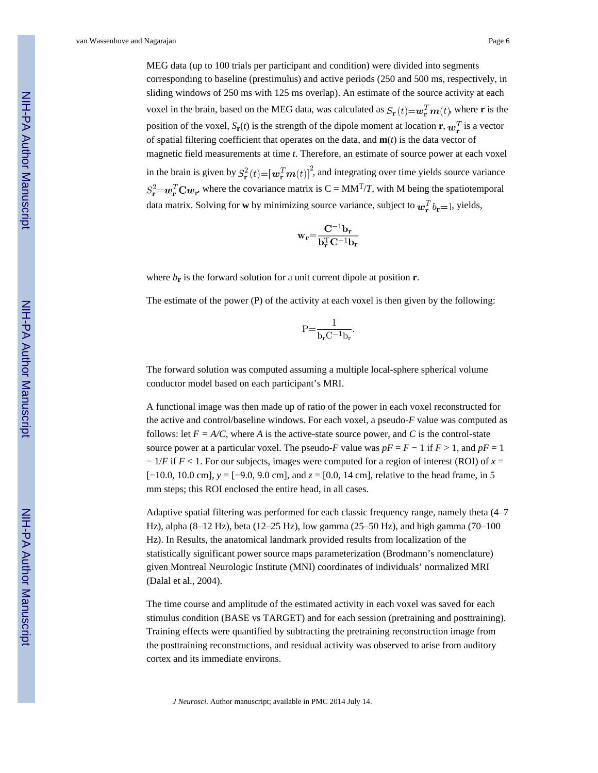van Wassenhove and Nagarajan Page 6

MEG data (up to 100 trials per participant and condition) were divided into segments corresponding to baseline (prestimulus) and active periods (250 and 500 ms, respectively, in sliding windows of 250 ms with 125 ms overlap). An estimate of the source activity at each voxel in the brain, based on the MEG data, was calculated as  $S_{\bf r}(t) = w_{\bf r}^T m(t)$ , where **r** is the position of the voxel,  $S_{\bf r}(t)$  is the strength of the dipole moment at location **r**,  $w_{\bf r}^T$  is a vector of spatial filtering coefficient that operates on the data, and **m**(*t*) is the data vector of magnetic field measurements at time *t*. Therefore, an estimate of source power at each voxel in the brain is given by  $S_{\mathbf{r}}^2(t) = [\mathbf{w}_\mathbf{r}^T \mathbf{m}(t)]^2$ , and integrating over time yields source variance  $S_r^2 = w_r^T C w_r$ , where the covariance matrix is  $C = MM^T/T$ , with M being the spatiotemporal data matrix. Solving for **w** by minimizing source variance, subject to  $w_{\mathbf{r}}^T b_{\mathbf{r}} = 1$ , yields,

$$
\mathbf{w_r} \hspace{-1mm} = \hspace{-1mm} \frac{\mathbf{C^{-1}b_r}}{\mathbf{b_r^T C^{-1}b_r}}
$$

where *b***<sup>r</sup>** is the forward solution for a unit current dipole at position **r**.

The estimate of the power (P) of the activity at each voxel is then given by the following:

$$
P = \frac{1}{b_r C^{-1} b_r}.
$$

The forward solution was computed assuming a multiple local-sphere spherical volume conductor model based on each participant's MRI.

A functional image was then made up of ratio of the power in each voxel reconstructed for the active and control/baseline windows. For each voxel, a pseudo-*F* value was computed as follows: let  $F = A/C$ , where A is the active-state source power, and C is the control-state source power at a particular voxel. The pseudo-*F* value was  $pF = F - 1$  if  $F > 1$ , and  $pF = 1$ − 1/*F* if *F* < 1. For our subjects, images were computed for a region of interest (ROI) of *x* = [−10.0, 10.0 cm], *y* = [−9.0, 9.0 cm], and *z* = [0.0, 14 cm], relative to the head frame, in 5 mm steps; this ROI enclosed the entire head, in all cases.

Adaptive spatial filtering was performed for each classic frequency range, namely theta (4–7 Hz), alpha (8–12 Hz), beta (12–25 Hz), low gamma (25–50 Hz), and high gamma (70–100 Hz). In Results, the anatomical landmark provided results from localization of the statistically significant power source maps parameterization (Brodmann's nomenclature) given Montreal Neurologic Institute (MNI) coordinates of individuals' normalized MRI (Dalal et al., 2004).

The time course and amplitude of the estimated activity in each voxel was saved for each stimulus condition (BASE vs TARGET) and for each session (pretraining and posttraining). Training effects were quantified by subtracting the pretraining reconstruction image from the posttraining reconstructions, and residual activity was observed to arise from auditory cortex and its immediate environs.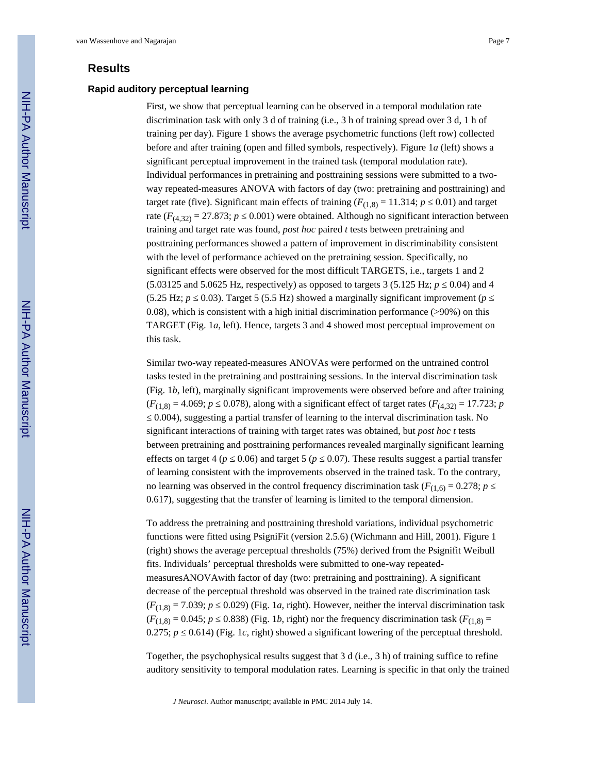## **Results**

#### **Rapid auditory perceptual learning**

First, we show that perceptual learning can be observed in a temporal modulation rate discrimination task with only 3 d of training (i.e., 3 h of training spread over 3 d, 1 h of training per day). Figure 1 shows the average psychometric functions (left row) collected before and after training (open and filled symbols, respectively). Figure 1*a* (left) shows a significant perceptual improvement in the trained task (temporal modulation rate). Individual performances in pretraining and posttraining sessions were submitted to a twoway repeated-measures ANOVA with factors of day (two: pretraining and posttraining) and target rate (five). Significant main effects of training  $(F_{(1,8)} = 11.314; p \quad 0.01)$  and target rate  $(F_{(4,32)} = 27.873$ ; *p* 0.001) were obtained. Although no significant interaction between training and target rate was found, *post hoc* paired *t* tests between pretraining and posttraining performances showed a pattern of improvement in discriminability consistent with the level of performance achieved on the pretraining session. Specifically, no significant effects were observed for the most difficult TARGETS, i.e., targets 1 and 2  $(5.03125 \text{ and } 5.0625 \text{ Hz}, \text{respectively})$  as opposed to targets 3 (5.125 Hz; *p*  $(0.04)$  and 4  $(5.25 \text{ Hz}; p \quad 0.03)$ . Target 5 (5.5 Hz) showed a marginally significant improvement (*p* 0.08), which is consistent with a high initial discrimination performance (>90%) on this TARGET (Fig. 1*a*, left). Hence, targets 3 and 4 showed most perceptual improvement on this task.

Similar two-way repeated-measures ANOVAs were performed on the untrained control tasks tested in the pretraining and posttraining sessions. In the interval discrimination task (Fig. 1*b*, left), marginally significant improvements were observed before and after training  $(F_{(1,8)} = 4.069; p \quad 0.078)$ , along with a significant effect of target rates  $(F_{(4,32)} = 17.723; p$ 

0.004), suggesting a partial transfer of learning to the interval discrimination task. No significant interactions of training with target rates was obtained, but *post hoc t* tests between pretraining and posttraining performances revealed marginally significant learning effects on target 4 ( $p \quad 0.06$ ) and target 5 ( $p \quad 0.07$ ). These results suggest a partial transfer of learning consistent with the improvements observed in the trained task. To the contrary, no learning was observed in the control frequency discrimination task ( $F_{(1,6)} = 0.278$ ; *p* 0.617), suggesting that the transfer of learning is limited to the temporal dimension.

To address the pretraining and posttraining threshold variations, individual psychometric functions were fitted using PsigniFit (version 2.5.6) (Wichmann and Hill, 2001). Figure 1 (right) shows the average perceptual thresholds (75%) derived from the Psignifit Weibull fits. Individuals' perceptual thresholds were submitted to one-way repeatedmeasuresANOVAwith factor of day (two: pretraining and posttraining). A significant decrease of the perceptual threshold was observed in the trained rate discrimination task  $(F<sub>(1,8)</sub> = 7.039; p \quad 0.029)$  (Fig. 1*a*, right). However, neither the interval discrimination task  $(F<sub>(1,8)</sub> = 0.045; p \quad 0.838)$  (Fig. 1*b*, right) nor the frequency discrimination task ( $F<sub>(1,8)</sub> =$ 0.275;  $p$  = 0.614) (Fig. 1*c*, right) showed a significant lowering of the perceptual threshold.

Together, the psychophysical results suggest that 3 d (i.e., 3 h) of training suffice to refine auditory sensitivity to temporal modulation rates. Learning is specific in that only the trained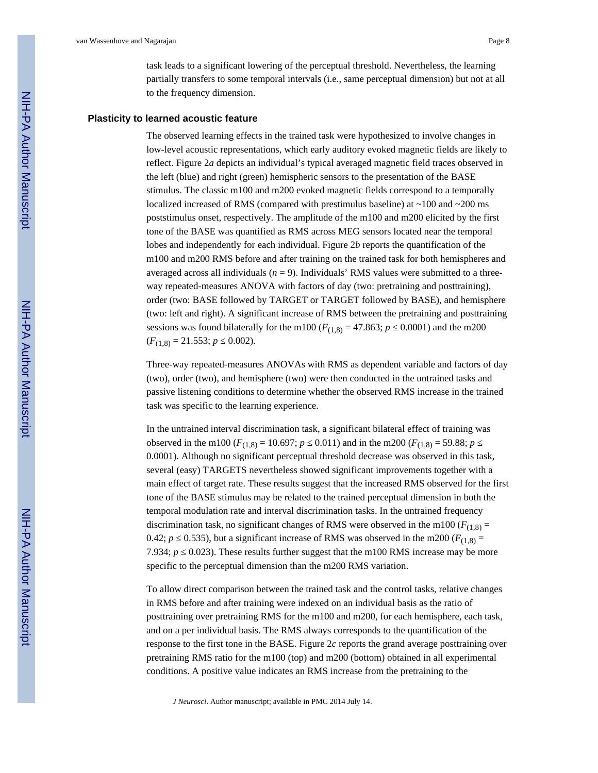task leads to a significant lowering of the perceptual threshold. Nevertheless, the learning partially transfers to some temporal intervals (i.e., same perceptual dimension) but not at all to the frequency dimension.

#### **Plasticity to learned acoustic feature**

The observed learning effects in the trained task were hypothesized to involve changes in low-level acoustic representations, which early auditory evoked magnetic fields are likely to reflect. Figure 2*a* depicts an individual's typical averaged magnetic field traces observed in the left (blue) and right (green) hemispheric sensors to the presentation of the BASE stimulus. The classic m100 and m200 evoked magnetic fields correspond to a temporally localized increased of RMS (compared with prestimulus baseline) at ~100 and ~200 ms poststimulus onset, respectively. The amplitude of the m100 and m200 elicited by the first tone of the BASE was quantified as RMS across MEG sensors located near the temporal lobes and independently for each individual. Figure 2*b* reports the quantification of the m100 and m200 RMS before and after training on the trained task for both hemispheres and averaged across all individuals  $(n = 9)$ . Individuals' RMS values were submitted to a threeway repeated-measures ANOVA with factors of day (two: pretraining and posttraining), order (two: BASE followed by TARGET or TARGET followed by BASE), and hemisphere (two: left and right). A significant increase of RMS between the pretraining and posttraining sessions was found bilaterally for the m100 ( $F_{(1,8)} = 47.863$ ; *p* 0.0001) and the m200  $(F_{(1,8)} = 21.553; p \quad 0.002).$ 

Three-way repeated-measures ANOVAs with RMS as dependent variable and factors of day (two), order (two), and hemisphere (two) were then conducted in the untrained tasks and passive listening conditions to determine whether the observed RMS increase in the trained task was specific to the learning experience.

In the untrained interval discrimination task, a significant bilateral effect of training was observed in the m100 ( $F_{(1,8)} = 10.697$ ; *p* 0.011) and in the m200 ( $F_{(1,8)} = 59.88$ ; *p* 0.0001). Although no significant perceptual threshold decrease was observed in this task, several (easy) TARGETS nevertheless showed significant improvements together with a main effect of target rate. These results suggest that the increased RMS observed for the first tone of the BASE stimulus may be related to the trained perceptual dimension in both the temporal modulation rate and interval discrimination tasks. In the untrained frequency discrimination task, no significant changes of RMS were observed in the m100 ( $F_{(1,8)}$  = 0.42; *p* = 0.535), but a significant increase of RMS was observed in the m200 ( $F_{(1,8)} =$ 7.934;  $p = 0.023$ ). These results further suggest that the m100 RMS increase may be more specific to the perceptual dimension than the m200 RMS variation.

To allow direct comparison between the trained task and the control tasks, relative changes in RMS before and after training were indexed on an individual basis as the ratio of posttraining over pretraining RMS for the m100 and m200, for each hemisphere, each task, and on a per individual basis. The RMS always corresponds to the quantification of the response to the first tone in the BASE. Figure 2*c* reports the grand average posttraining over pretraining RMS ratio for the m100 (top) and m200 (bottom) obtained in all experimental conditions. A positive value indicates an RMS increase from the pretraining to the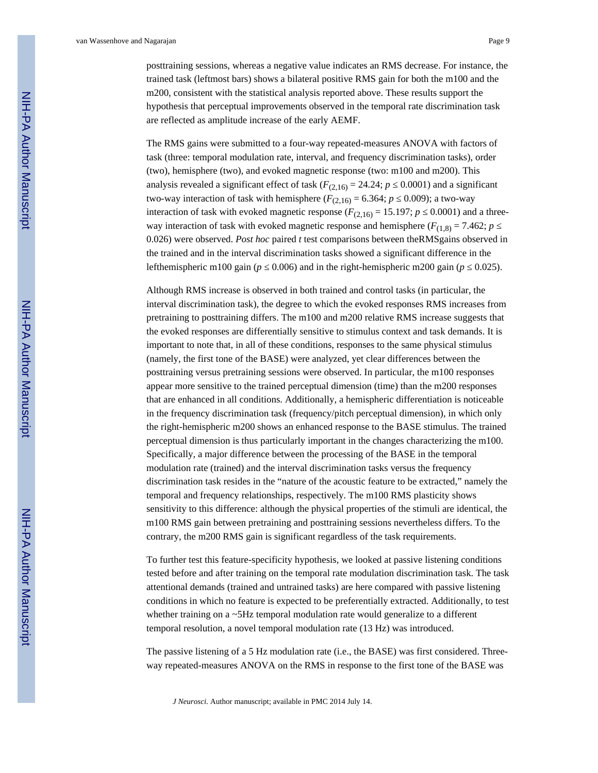posttraining sessions, whereas a negative value indicates an RMS decrease. For instance, the trained task (leftmost bars) shows a bilateral positive RMS gain for both the m100 and the m200, consistent with the statistical analysis reported above. These results support the hypothesis that perceptual improvements observed in the temporal rate discrimination task are reflected as amplitude increase of the early AEMF.

The RMS gains were submitted to a four-way repeated-measures ANOVA with factors of task (three: temporal modulation rate, interval, and frequency discrimination tasks), order (two), hemisphere (two), and evoked magnetic response (two: m100 and m200). This analysis revealed a significant effect of task  $(F_{(2,16)} = 24.24; p \quad 0.0001)$  and a significant two-way interaction of task with hemisphere  $(F_{(2,16)} = 6.364; p \quad 0.009)$ ; a two-way interaction of task with evoked magnetic response  $(F_{(2,16)} = 15.197; p \quad 0.0001)$  and a threeway interaction of task with evoked magnetic response and hemisphere ( $F_{(1,8)} = 7.462$ ; *p* 0.026) were observed. *Post hoc* paired *t* test comparisons between theRMSgains observed in the trained and in the interval discrimination tasks showed a significant difference in the lefthemispheric m100 gain  $(p \quad 0.006)$  and in the right-hemispheric m200 gain  $(p \quad 0.025)$ .

Although RMS increase is observed in both trained and control tasks (in particular, the interval discrimination task), the degree to which the evoked responses RMS increases from pretraining to posttraining differs. The m100 and m200 relative RMS increase suggests that the evoked responses are differentially sensitive to stimulus context and task demands. It is important to note that, in all of these conditions, responses to the same physical stimulus (namely, the first tone of the BASE) were analyzed, yet clear differences between the posttraining versus pretraining sessions were observed. In particular, the m100 responses appear more sensitive to the trained perceptual dimension (time) than the m200 responses that are enhanced in all conditions. Additionally, a hemispheric differentiation is noticeable in the frequency discrimination task (frequency/pitch perceptual dimension), in which only the right-hemispheric m200 shows an enhanced response to the BASE stimulus. The trained perceptual dimension is thus particularly important in the changes characterizing the m100. Specifically, a major difference between the processing of the BASE in the temporal modulation rate (trained) and the interval discrimination tasks versus the frequency discrimination task resides in the "nature of the acoustic feature to be extracted," namely the temporal and frequency relationships, respectively. The m100 RMS plasticity shows sensitivity to this difference: although the physical properties of the stimuli are identical, the m100 RMS gain between pretraining and posttraining sessions nevertheless differs. To the contrary, the m200 RMS gain is significant regardless of the task requirements.

To further test this feature-specificity hypothesis, we looked at passive listening conditions tested before and after training on the temporal rate modulation discrimination task. The task attentional demands (trained and untrained tasks) are here compared with passive listening conditions in which no feature is expected to be preferentially extracted. Additionally, to test whether training on a ~5Hz temporal modulation rate would generalize to a different temporal resolution, a novel temporal modulation rate (13 Hz) was introduced.

The passive listening of a 5 Hz modulation rate (i.e., the BASE) was first considered. Threeway repeated-measures ANOVA on the RMS in response to the first tone of the BASE was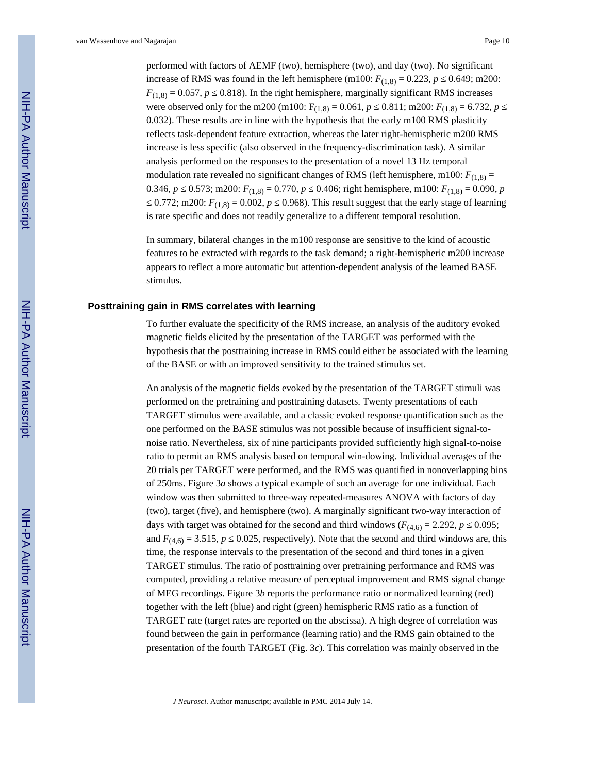performed with factors of AEMF (two), hemisphere (two), and day (two). No significant increase of RMS was found in the left hemisphere (m100:  $F_{(1,8)} = 0.223$ , *p*  $0.649$ ; m200:  $F_{(1,8)} = 0.057$ , *p* = 0.818). In the right hemisphere, marginally significant RMS increases were observed only for the m200 (m100:  $F_{(1,8)} = 0.061$ , *p* 0.811; m200:  $F_{(1,8)} = 6.732$ , *p* 0.032). These results are in line with the hypothesis that the early m100 RMS plasticity reflects task-dependent feature extraction, whereas the later right-hemispheric m200 RMS increase is less specific (also observed in the frequency-discrimination task). A similar analysis performed on the responses to the presentation of a novel 13 Hz temporal modulation rate revealed no significant changes of RMS (left hemisphere, m100:  $F_{(1,8)} =$ 0.346, *p* 0.573; m200:  $F_{(1,8)} = 0.770$ , *p* 0.406; right hemisphere, m100:  $F_{(1,8)} = 0.090$ , *p* 0.772; m200:  $F_{(1,8)} = 0.002$ , *p* 0.968). This result suggest that the early stage of learning is rate specific and does not readily generalize to a different temporal resolution.

In summary, bilateral changes in the m100 response are sensitive to the kind of acoustic features to be extracted with regards to the task demand; a right-hemispheric m200 increase appears to reflect a more automatic but attention-dependent analysis of the learned BASE stimulus.

#### **Posttraining gain in RMS correlates with learning**

To further evaluate the specificity of the RMS increase, an analysis of the auditory evoked magnetic fields elicited by the presentation of the TARGET was performed with the hypothesis that the posttraining increase in RMS could either be associated with the learning of the BASE or with an improved sensitivity to the trained stimulus set.

An analysis of the magnetic fields evoked by the presentation of the TARGET stimuli was performed on the pretraining and posttraining datasets. Twenty presentations of each TARGET stimulus were available, and a classic evoked response quantification such as the one performed on the BASE stimulus was not possible because of insufficient signal-tonoise ratio. Nevertheless, six of nine participants provided sufficiently high signal-to-noise ratio to permit an RMS analysis based on temporal win-dowing. Individual averages of the 20 trials per TARGET were performed, and the RMS was quantified in nonoverlapping bins of 250ms. Figure 3*a* shows a typical example of such an average for one individual. Each window was then submitted to three-way repeated-measures ANOVA with factors of day (two), target (five), and hemisphere (two). A marginally significant two-way interaction of days with target was obtained for the second and third windows ( $F_{(4,6)} = 2.292$ , *p* 0.095; and  $F_{(4,6)} = 3.515$ , *p* 0.025, respectively). Note that the second and third windows are, this time, the response intervals to the presentation of the second and third tones in a given TARGET stimulus. The ratio of posttraining over pretraining performance and RMS was computed, providing a relative measure of perceptual improvement and RMS signal change of MEG recordings. Figure 3*b* reports the performance ratio or normalized learning (red) together with the left (blue) and right (green) hemispheric RMS ratio as a function of TARGET rate (target rates are reported on the abscissa). A high degree of correlation was found between the gain in performance (learning ratio) and the RMS gain obtained to the presentation of the fourth TARGET (Fig. 3*c*). This correlation was mainly observed in the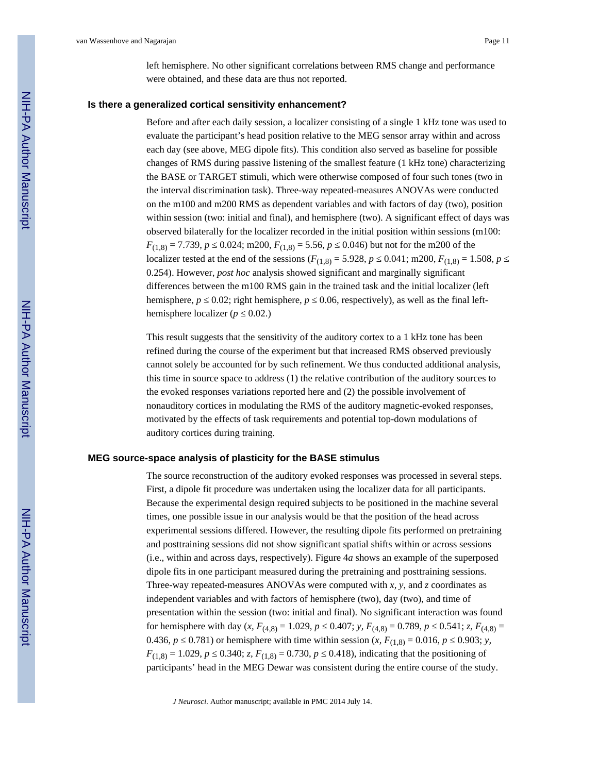left hemisphere. No other significant correlations between RMS change and performance were obtained, and these data are thus not reported.

#### **Is there a generalized cortical sensitivity enhancement?**

Before and after each daily session, a localizer consisting of a single 1 kHz tone was used to evaluate the participant's head position relative to the MEG sensor array within and across each day (see above, MEG dipole fits). This condition also served as baseline for possible changes of RMS during passive listening of the smallest feature (1 kHz tone) characterizing the BASE or TARGET stimuli, which were otherwise composed of four such tones (two in the interval discrimination task). Three-way repeated-measures ANOVAs were conducted on the m100 and m200 RMS as dependent variables and with factors of day (two), position within session (two: initial and final), and hemisphere (two). A significant effect of days was observed bilaterally for the localizer recorded in the initial position within sessions (m100:  $F_{(1,8)} = 7.739, p$  0.024; m200,  $F_{(1,8)} = 5.56, p$  0.046) but not for the m200 of the localizer tested at the end of the sessions  $(F_{(1,8)} = 5.928, p \quad 0.041; \text{m200}, F_{(1,8)} = 1.508, p$ 0.254). However, *post hoc* analysis showed significant and marginally significant differences between the m100 RMS gain in the trained task and the initial localizer (left hemisphere,  $p \quad 0.02$ ; right hemisphere,  $p \quad 0.06$ , respectively), as well as the final lefthemisphere localizer  $(p \ 0.02)$ .

This result suggests that the sensitivity of the auditory cortex to a 1 kHz tone has been refined during the course of the experiment but that increased RMS observed previously cannot solely be accounted for by such refinement. We thus conducted additional analysis, this time in source space to address (1) the relative contribution of the auditory sources to the evoked responses variations reported here and (2) the possible involvement of nonauditory cortices in modulating the RMS of the auditory magnetic-evoked responses, motivated by the effects of task requirements and potential top-down modulations of auditory cortices during training.

#### **MEG source-space analysis of plasticity for the BASE stimulus**

The source reconstruction of the auditory evoked responses was processed in several steps. First, a dipole fit procedure was undertaken using the localizer data for all participants. Because the experimental design required subjects to be positioned in the machine several times, one possible issue in our analysis would be that the position of the head across experimental sessions differed. However, the resulting dipole fits performed on pretraining and posttraining sessions did not show significant spatial shifts within or across sessions (i.e., within and across days, respectively). Figure 4*a* shows an example of the superposed dipole fits in one participant measured during the pretraining and posttraining sessions. Three-way repeated-measures ANOVAs were computed with *x, y*, and *z* coordinates as independent variables and with factors of hemisphere (two), day (two), and time of presentation within the session (two: initial and final). No significant interaction was found for hemisphere with day  $(x, F_{(4,8)} = 1.029, p \quad 0.407; y, F_{(4,8)} = 0.789, p \quad 0.541; z, F_{(4,8)} = 0.541$ 0.436, *p* 0.781) or hemisphere with time within session  $(x, F_{(1,8)} = 0.016, p \quad 0.903; y,$  $F_{(1,8)} = 1.029$ , *p* 0.340; *z*,  $F_{(1,8)} = 0.730$ , *p* 0.418), indicating that the positioning of participants' head in the MEG Dewar was consistent during the entire course of the study.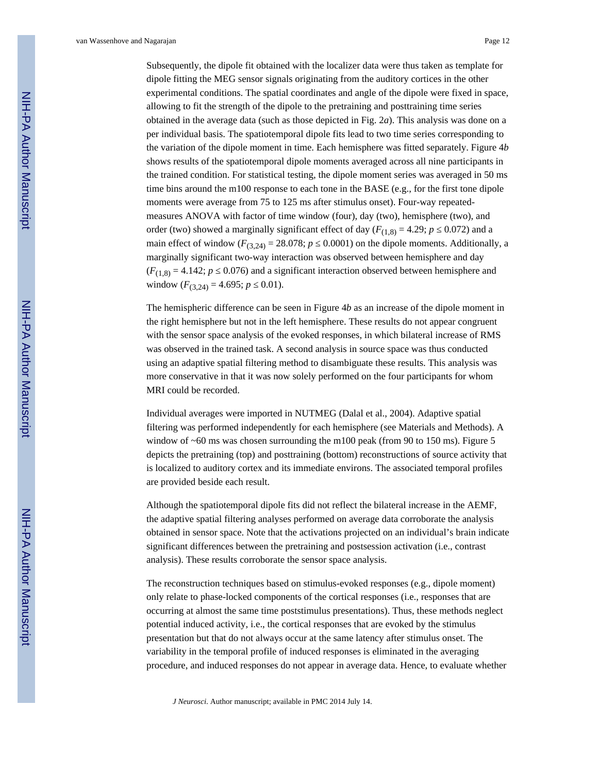van Wassenhove and Nagarajan Page 12

Subsequently, the dipole fit obtained with the localizer data were thus taken as template for dipole fitting the MEG sensor signals originating from the auditory cortices in the other experimental conditions. The spatial coordinates and angle of the dipole were fixed in space, allowing to fit the strength of the dipole to the pretraining and posttraining time series obtained in the average data (such as those depicted in Fig. 2*a*). This analysis was done on a per individual basis. The spatiotemporal dipole fits lead to two time series corresponding to the variation of the dipole moment in time. Each hemisphere was fitted separately. Figure 4*b* shows results of the spatiotemporal dipole moments averaged across all nine participants in the trained condition. For statistical testing, the dipole moment series was averaged in 50 ms time bins around the m100 response to each tone in the BASE (e.g., for the first tone dipole moments were average from 75 to 125 ms after stimulus onset). Four-way repeatedmeasures ANOVA with factor of time window (four), day (two), hemisphere (two), and order (two) showed a marginally significant effect of day ( $F_{(1,8)} = 4.29$ ; *p* = 0.072) and a main effect of window  $(F_{(3,24)} = 28.078; p \quad 0.0001)$  on the dipole moments. Additionally, a marginally significant two-way interaction was observed between hemisphere and day  $(F<sub>(1,8)</sub> = 4.142; p \quad 0.076)$  and a significant interaction observed between hemisphere and window  $(F_{(3,24)} = 4.695; p \quad 0.01)$ .

The hemispheric difference can be seen in Figure 4*b* as an increase of the dipole moment in the right hemisphere but not in the left hemisphere. These results do not appear congruent with the sensor space analysis of the evoked responses, in which bilateral increase of RMS was observed in the trained task. A second analysis in source space was thus conducted using an adaptive spatial filtering method to disambiguate these results. This analysis was more conservative in that it was now solely performed on the four participants for whom MRI could be recorded.

Individual averages were imported in NUTMEG (Dalal et al., 2004). Adaptive spatial filtering was performed independently for each hemisphere (see Materials and Methods). A window of  $~60$  ms was chosen surrounding the m100 peak (from 90 to 150 ms). Figure 5 depicts the pretraining (top) and posttraining (bottom) reconstructions of source activity that is localized to auditory cortex and its immediate environs. The associated temporal profiles are provided beside each result.

Although the spatiotemporal dipole fits did not reflect the bilateral increase in the AEMF, the adaptive spatial filtering analyses performed on average data corroborate the analysis obtained in sensor space. Note that the activations projected on an individual's brain indicate significant differences between the pretraining and postsession activation (i.e., contrast analysis). These results corroborate the sensor space analysis.

The reconstruction techniques based on stimulus-evoked responses (e.g., dipole moment) only relate to phase-locked components of the cortical responses (i.e., responses that are occurring at almost the same time poststimulus presentations). Thus, these methods neglect potential induced activity, i.e., the cortical responses that are evoked by the stimulus presentation but that do not always occur at the same latency after stimulus onset. The variability in the temporal profile of induced responses is eliminated in the averaging procedure, and induced responses do not appear in average data. Hence, to evaluate whether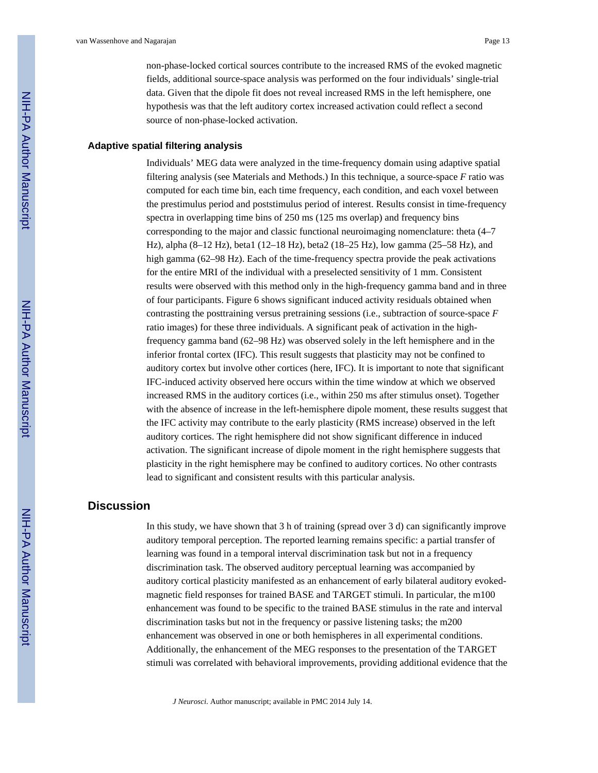non-phase-locked cortical sources contribute to the increased RMS of the evoked magnetic fields, additional source-space analysis was performed on the four individuals' single-trial data. Given that the dipole fit does not reveal increased RMS in the left hemisphere, one hypothesis was that the left auditory cortex increased activation could reflect a second source of non-phase-locked activation.

#### **Adaptive spatial filtering analysis**

Individuals' MEG data were analyzed in the time-frequency domain using adaptive spatial filtering analysis (see Materials and Methods.) In this technique, a source-space *F* ratio was computed for each time bin, each time frequency, each condition, and each voxel between the prestimulus period and poststimulus period of interest. Results consist in time-frequency spectra in overlapping time bins of 250 ms (125 ms overlap) and frequency bins corresponding to the major and classic functional neuroimaging nomenclature: theta (4–7 Hz), alpha (8–12 Hz), beta1 (12–18 Hz), beta2 (18–25 Hz), low gamma (25–58 Hz), and high gamma (62–98 Hz). Each of the time-frequency spectra provide the peak activations for the entire MRI of the individual with a preselected sensitivity of 1 mm. Consistent results were observed with this method only in the high-frequency gamma band and in three of four participants. Figure 6 shows significant induced activity residuals obtained when contrasting the posttraining versus pretraining sessions (i.e., subtraction of source-space *F* ratio images) for these three individuals. A significant peak of activation in the highfrequency gamma band (62–98 Hz) was observed solely in the left hemisphere and in the inferior frontal cortex (IFC). This result suggests that plasticity may not be confined to auditory cortex but involve other cortices (here, IFC). It is important to note that significant IFC-induced activity observed here occurs within the time window at which we observed increased RMS in the auditory cortices (i.e., within 250 ms after stimulus onset). Together with the absence of increase in the left-hemisphere dipole moment, these results suggest that the IFC activity may contribute to the early plasticity (RMS increase) observed in the left auditory cortices. The right hemisphere did not show significant difference in induced activation. The significant increase of dipole moment in the right hemisphere suggests that plasticity in the right hemisphere may be confined to auditory cortices. No other contrasts lead to significant and consistent results with this particular analysis.

## **Discussion**

In this study, we have shown that 3 h of training (spread over 3 d) can significantly improve auditory temporal perception. The reported learning remains specific: a partial transfer of learning was found in a temporal interval discrimination task but not in a frequency discrimination task. The observed auditory perceptual learning was accompanied by auditory cortical plasticity manifested as an enhancement of early bilateral auditory evokedmagnetic field responses for trained BASE and TARGET stimuli. In particular, the m100 enhancement was found to be specific to the trained BASE stimulus in the rate and interval discrimination tasks but not in the frequency or passive listening tasks; the m200 enhancement was observed in one or both hemispheres in all experimental conditions. Additionally, the enhancement of the MEG responses to the presentation of the TARGET stimuli was correlated with behavioral improvements, providing additional evidence that the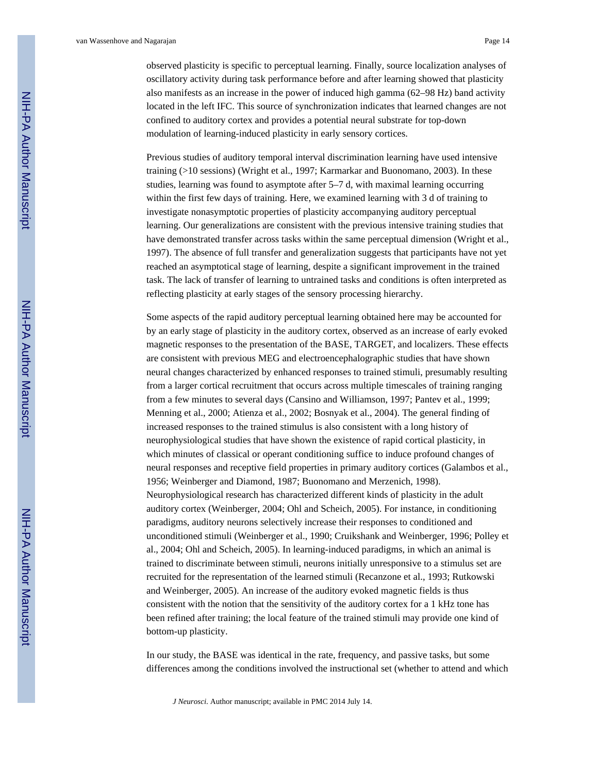observed plasticity is specific to perceptual learning. Finally, source localization analyses of oscillatory activity during task performance before and after learning showed that plasticity also manifests as an increase in the power of induced high gamma (62–98 Hz) band activity located in the left IFC. This source of synchronization indicates that learned changes are not confined to auditory cortex and provides a potential neural substrate for top-down modulation of learning-induced plasticity in early sensory cortices.

Previous studies of auditory temporal interval discrimination learning have used intensive training (>10 sessions) (Wright et al., 1997; Karmarkar and Buonomano, 2003). In these studies, learning was found to asymptote after 5–7 d, with maximal learning occurring within the first few days of training. Here, we examined learning with 3 d of training to investigate nonasymptotic properties of plasticity accompanying auditory perceptual learning. Our generalizations are consistent with the previous intensive training studies that have demonstrated transfer across tasks within the same perceptual dimension (Wright et al., 1997). The absence of full transfer and generalization suggests that participants have not yet reached an asymptotical stage of learning, despite a significant improvement in the trained task. The lack of transfer of learning to untrained tasks and conditions is often interpreted as reflecting plasticity at early stages of the sensory processing hierarchy.

Some aspects of the rapid auditory perceptual learning obtained here may be accounted for by an early stage of plasticity in the auditory cortex, observed as an increase of early evoked magnetic responses to the presentation of the BASE, TARGET, and localizers. These effects are consistent with previous MEG and electroencephalographic studies that have shown neural changes characterized by enhanced responses to trained stimuli, presumably resulting from a larger cortical recruitment that occurs across multiple timescales of training ranging from a few minutes to several days (Cansino and Williamson, 1997; Pantev et al., 1999; Menning et al., 2000; Atienza et al., 2002; Bosnyak et al., 2004). The general finding of increased responses to the trained stimulus is also consistent with a long history of neurophysiological studies that have shown the existence of rapid cortical plasticity, in which minutes of classical or operant conditioning suffice to induce profound changes of neural responses and receptive field properties in primary auditory cortices (Galambos et al., 1956; Weinberger and Diamond, 1987; Buonomano and Merzenich, 1998). Neurophysiological research has characterized different kinds of plasticity in the adult auditory cortex (Weinberger, 2004; Ohl and Scheich, 2005). For instance, in conditioning paradigms, auditory neurons selectively increase their responses to conditioned and unconditioned stimuli (Weinberger et al., 1990; Cruikshank and Weinberger, 1996; Polley et al., 2004; Ohl and Scheich, 2005). In learning-induced paradigms, in which an animal is trained to discriminate between stimuli, neurons initially unresponsive to a stimulus set are recruited for the representation of the learned stimuli (Recanzone et al., 1993; Rutkowski and Weinberger, 2005). An increase of the auditory evoked magnetic fields is thus consistent with the notion that the sensitivity of the auditory cortex for a 1 kHz tone has been refined after training; the local feature of the trained stimuli may provide one kind of bottom-up plasticity.

In our study, the BASE was identical in the rate, frequency, and passive tasks, but some differences among the conditions involved the instructional set (whether to attend and which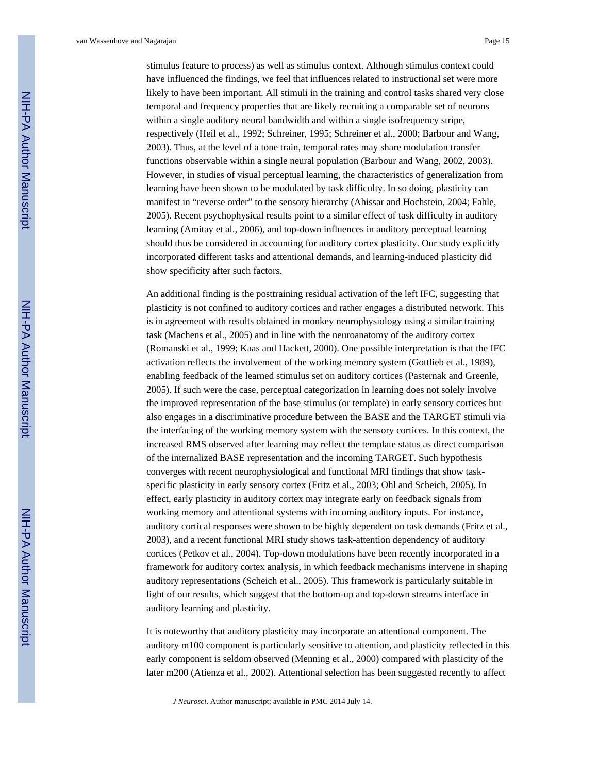stimulus feature to process) as well as stimulus context. Although stimulus context could have influenced the findings, we feel that influences related to instructional set were more likely to have been important. All stimuli in the training and control tasks shared very close temporal and frequency properties that are likely recruiting a comparable set of neurons within a single auditory neural bandwidth and within a single isofrequency stripe, respectively (Heil et al., 1992; Schreiner, 1995; Schreiner et al., 2000; Barbour and Wang, 2003). Thus, at the level of a tone train, temporal rates may share modulation transfer functions observable within a single neural population (Barbour and Wang, 2002, 2003). However, in studies of visual perceptual learning, the characteristics of generalization from learning have been shown to be modulated by task difficulty. In so doing, plasticity can manifest in "reverse order" to the sensory hierarchy (Ahissar and Hochstein, 2004; Fahle, 2005). Recent psychophysical results point to a similar effect of task difficulty in auditory learning (Amitay et al., 2006), and top-down influences in auditory perceptual learning should thus be considered in accounting for auditory cortex plasticity. Our study explicitly incorporated different tasks and attentional demands, and learning-induced plasticity did show specificity after such factors.

An additional finding is the posttraining residual activation of the left IFC, suggesting that plasticity is not confined to auditory cortices and rather engages a distributed network. This is in agreement with results obtained in monkey neurophysiology using a similar training task (Machens et al., 2005) and in line with the neuroanatomy of the auditory cortex (Romanski et al., 1999; Kaas and Hackett, 2000). One possible interpretation is that the IFC activation reflects the involvement of the working memory system (Gottlieb et al., 1989), enabling feedback of the learned stimulus set on auditory cortices (Pasternak and Greenle, 2005). If such were the case, perceptual categorization in learning does not solely involve the improved representation of the base stimulus (or template) in early sensory cortices but also engages in a discriminative procedure between the BASE and the TARGET stimuli via the interfacing of the working memory system with the sensory cortices. In this context, the increased RMS observed after learning may reflect the template status as direct comparison of the internalized BASE representation and the incoming TARGET. Such hypothesis converges with recent neurophysiological and functional MRI findings that show taskspecific plasticity in early sensory cortex (Fritz et al., 2003; Ohl and Scheich, 2005). In effect, early plasticity in auditory cortex may integrate early on feedback signals from working memory and attentional systems with incoming auditory inputs. For instance, auditory cortical responses were shown to be highly dependent on task demands (Fritz et al., 2003), and a recent functional MRI study shows task-attention dependency of auditory cortices (Petkov et al., 2004). Top-down modulations have been recently incorporated in a framework for auditory cortex analysis, in which feedback mechanisms intervene in shaping auditory representations (Scheich et al., 2005). This framework is particularly suitable in light of our results, which suggest that the bottom-up and top-down streams interface in auditory learning and plasticity.

It is noteworthy that auditory plasticity may incorporate an attentional component. The auditory m100 component is particularly sensitive to attention, and plasticity reflected in this early component is seldom observed (Menning et al., 2000) compared with plasticity of the later m200 (Atienza et al., 2002). Attentional selection has been suggested recently to affect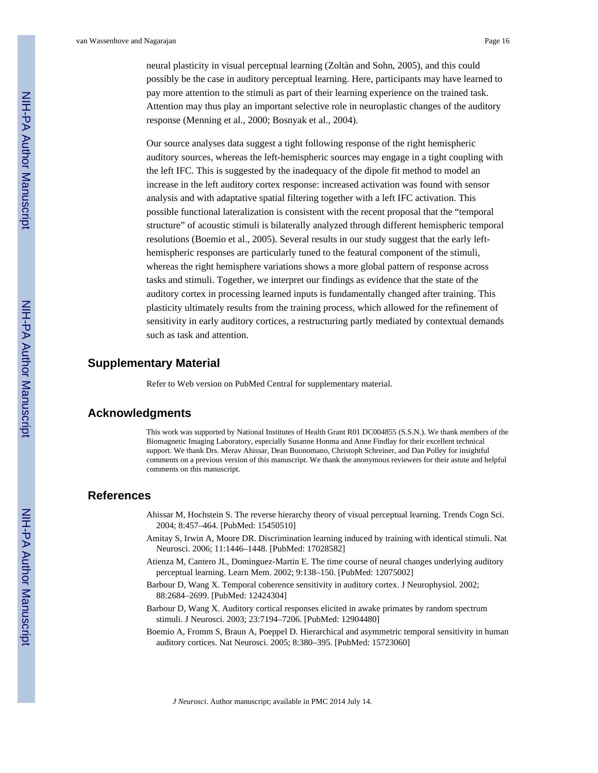neural plasticity in visual perceptual learning (Zoltàn and Sohn, 2005), and this could possibly be the case in auditory perceptual learning. Here, participants may have learned to pay more attention to the stimuli as part of their learning experience on the trained task. Attention may thus play an important selective role in neuroplastic changes of the auditory response (Menning et al., 2000; Bosnyak et al., 2004).

Our source analyses data suggest a tight following response of the right hemispheric auditory sources, whereas the left-hemispheric sources may engage in a tight coupling with the left IFC. This is suggested by the inadequacy of the dipole fit method to model an increase in the left auditory cortex response: increased activation was found with sensor analysis and with adaptative spatial filtering together with a left IFC activation. This possible functional lateralization is consistent with the recent proposal that the "temporal structure" of acoustic stimuli is bilaterally analyzed through different hemispheric temporal resolutions (Boemio et al., 2005). Several results in our study suggest that the early lefthemispheric responses are particularly tuned to the featural component of the stimuli, whereas the right hemisphere variations shows a more global pattern of response across tasks and stimuli. Together, we interpret our findings as evidence that the state of the auditory cortex in processing learned inputs is fundamentally changed after training. This plasticity ultimately results from the training process, which allowed for the refinement of sensitivity in early auditory cortices, a restructuring partly mediated by contextual demands such as task and attention.

## **Supplementary Material**

Refer to Web version on PubMed Central for supplementary material.

## **Acknowledgments**

This work was supported by National Institutes of Health Grant R01 DC004855 (S.S.N.). We thank members of the Biomagnetic Imaging Laboratory, especially Susanne Honma and Anne Findlay for their excellent technical support. We thank Drs. Merav Ahissar, Dean Buonomano, Christoph Schreiner, and Dan Polley for insightful comments on a previous version of this manuscript. We thank the anonymous reviewers for their astute and helpful comments on this manuscript.

## **References**

- Ahissar M, Hochstein S. The reverse hierarchy theory of visual perceptual learning. Trends Cogn Sci. 2004; 8:457–464. [PubMed: 15450510]
- Amitay S, Irwin A, Moore DR. Discrimination learning induced by training with identical stimuli. Nat Neurosci. 2006; 11:1446–1448. [PubMed: 17028582]
- Atienza M, Cantero JL, Dominguez-Martin E. The time course of neural changes underlying auditory perceptual learning. Learn Mem. 2002; 9:138–150. [PubMed: 12075002]
- Barbour D, Wang X. Temporal coherence sensitivity in auditory cortex. J Neurophysiol. 2002; 88:2684–2699. [PubMed: 12424304]
- Barbour D, Wang X. Auditory cortical responses elicited in awake primates by random spectrum stimuli. J Neurosci. 2003; 23:7194–7206. [PubMed: 12904480]
- Boemio A, Fromm S, Braun A, Poeppel D. Hierarchical and asymmetric temporal sensitivity in human auditory cortices. Nat Neurosci. 2005; 8:380–395. [PubMed: 15723060]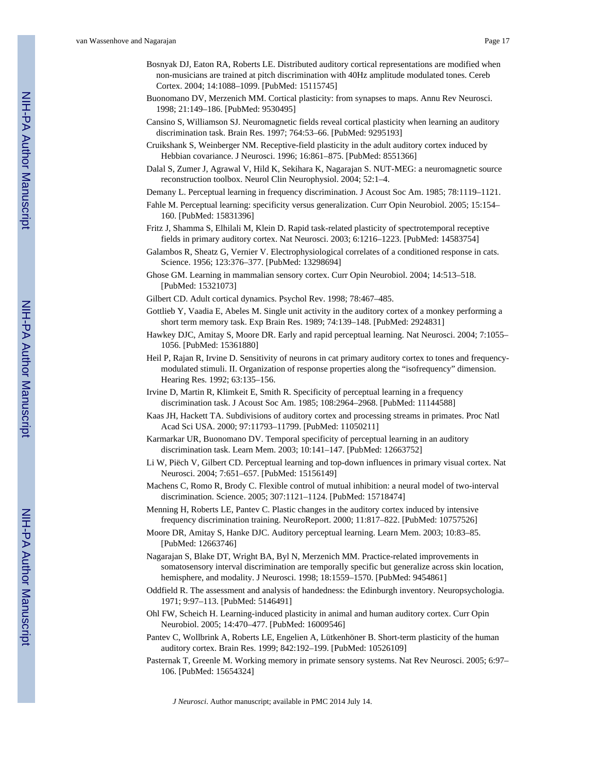- Bosnyak DJ, Eaton RA, Roberts LE. Distributed auditory cortical representations are modified when non-musicians are trained at pitch discrimination with 40Hz amplitude modulated tones. Cereb Cortex. 2004; 14:1088–1099. [PubMed: 15115745]
- Buonomano DV, Merzenich MM. Cortical plasticity: from synapses to maps. Annu Rev Neurosci. 1998; 21:149–186. [PubMed: 9530495]
- Cansino S, Williamson SJ. Neuromagnetic fields reveal cortical plasticity when learning an auditory discrimination task. Brain Res. 1997; 764:53–66. [PubMed: 9295193]
- Cruikshank S, Weinberger NM. Receptive-field plasticity in the adult auditory cortex induced by Hebbian covariance. J Neurosci. 1996; 16:861–875. [PubMed: 8551366]
- Dalal S, Zumer J, Agrawal V, Hild K, Sekihara K, Nagarajan S. NUT-MEG: a neuromagnetic source reconstruction toolbox. Neurol Clin Neurophysiol. 2004; 52:1–4.
- Demany L. Perceptual learning in frequency discrimination. J Acoust Soc Am. 1985; 78:1119–1121.
- Fahle M. Perceptual learning: specificity versus generalization. Curr Opin Neurobiol. 2005; 15:154– 160. [PubMed: 15831396]
- Fritz J, Shamma S, Elhilali M, Klein D. Rapid task-related plasticity of spectrotemporal receptive fields in primary auditory cortex. Nat Neurosci. 2003; 6:1216–1223. [PubMed: 14583754]
- Galambos R, Sheatz G, Vernier V. Electrophysiological correlates of a conditioned response in cats. Science. 1956; 123:376–377. [PubMed: 13298694]
- Ghose GM. Learning in mammalian sensory cortex. Curr Opin Neurobiol. 2004; 14:513–518. [PubMed: 15321073]
- Gilbert CD. Adult cortical dynamics. Psychol Rev. 1998; 78:467–485.
- Gottlieb Y, Vaadia E, Abeles M. Single unit activity in the auditory cortex of a monkey performing a short term memory task. Exp Brain Res. 1989; 74:139–148. [PubMed: 2924831]
- Hawkey DJC, Amitay S, Moore DR. Early and rapid perceptual learning. Nat Neurosci. 2004; 7:1055– 1056. [PubMed: 15361880]
- Heil P, Rajan R, Irvine D. Sensitivity of neurons in cat primary auditory cortex to tones and frequencymodulated stimuli. II. Organization of response properties along the "isofrequency" dimension. Hearing Res. 1992; 63:135–156.
- Irvine D, Martin R, Klimkeit E, Smith R. Specificity of perceptual learning in a frequency discrimination task. J Acoust Soc Am. 1985; 108:2964–2968. [PubMed: 11144588]
- Kaas JH, Hackett TA. Subdivisions of auditory cortex and processing streams in primates. Proc Natl Acad Sci USA. 2000; 97:11793–11799. [PubMed: 11050211]
- Karmarkar UR, Buonomano DV. Temporal specificity of perceptual learning in an auditory discrimination task. Learn Mem. 2003; 10:141–147. [PubMed: 12663752]
- Li W, Piëch V, Gilbert CD. Perceptual learning and top-down influences in primary visual cortex. Nat Neurosci. 2004; 7:651–657. [PubMed: 15156149]
- Machens C, Romo R, Brody C. Flexible control of mutual inhibition: a neural model of two-interval discrimination. Science. 2005; 307:1121–1124. [PubMed: 15718474]
- Menning H, Roberts LE, Pantev C. Plastic changes in the auditory cortex induced by intensive frequency discrimination training. NeuroReport. 2000; 11:817–822. [PubMed: 10757526]
- Moore DR, Amitay S, Hanke DJC. Auditory perceptual learning. Learn Mem. 2003; 10:83–85. [PubMed: 12663746]
- Nagarajan S, Blake DT, Wright BA, Byl N, Merzenich MM. Practice-related improvements in somatosensory interval discrimination are temporally specific but generalize across skin location, hemisphere, and modality. J Neurosci. 1998; 18:1559–1570. [PubMed: 9454861]
- Oddfield R. The assessment and analysis of handedness: the Edinburgh inventory. Neuropsychologia. 1971; 9:97–113. [PubMed: 5146491]
- Ohl FW, Scheich H. Learning-induced plasticity in animal and human auditory cortex. Curr Opin Neurobiol. 2005; 14:470–477. [PubMed: 16009546]
- Pantev C, Wollbrink A, Roberts LE, Engelien A, Lütkenhöner B. Short-term plasticity of the human auditory cortex. Brain Res. 1999; 842:192–199. [PubMed: 10526109]
- Pasternak T, Greenle M. Working memory in primate sensory systems. Nat Rev Neurosci. 2005; 6:97– 106. [PubMed: 15654324]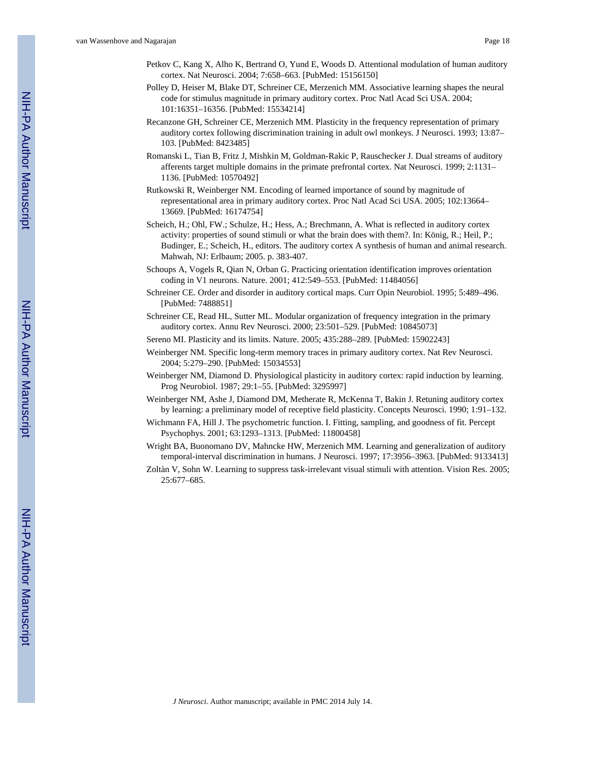- Petkov C, Kang X, Alho K, Bertrand O, Yund E, Woods D. Attentional modulation of human auditory cortex. Nat Neurosci. 2004; 7:658–663. [PubMed: 15156150]
- Polley D, Heiser M, Blake DT, Schreiner CE, Merzenich MM. Associative learning shapes the neural code for stimulus magnitude in primary auditory cortex. Proc Natl Acad Sci USA. 2004; 101:16351–16356. [PubMed: 15534214]
- Recanzone GH, Schreiner CE, Merzenich MM. Plasticity in the frequency representation of primary auditory cortex following discrimination training in adult owl monkeys. J Neurosci. 1993; 13:87– 103. [PubMed: 8423485]
- Romanski L, Tian B, Fritz J, Mishkin M, Goldman-Rakic P, Rauschecker J. Dual streams of auditory afferents target multiple domains in the primate prefrontal cortex. Nat Neurosci. 1999; 2:1131– 1136. [PubMed: 10570492]
- Rutkowski R, Weinberger NM. Encoding of learned importance of sound by magnitude of representational area in primary auditory cortex. Proc Natl Acad Sci USA. 2005; 102:13664– 13669. [PubMed: 16174754]
- Scheich, H.; Ohl, FW.; Schulze, H.; Hess, A.; Brechmann, A. What is reflected in auditory cortex activity: properties of sound stimuli or what the brain does with them?. In: König, R.; Heil, P.; Budinger, E.; Scheich, H., editors. The auditory cortex A synthesis of human and animal research. Mahwah, NJ: Erlbaum; 2005. p. 383-407.
- Schoups A, Vogels R, Qian N, Orban G. Practicing orientation identification improves orientation coding in V1 neurons. Nature. 2001; 412:549–553. [PubMed: 11484056]
- Schreiner CE. Order and disorder in auditory cortical maps. Curr Opin Neurobiol. 1995; 5:489–496. [PubMed: 7488851]
- Schreiner CE, Read HL, Sutter ML. Modular organization of frequency integration in the primary auditory cortex. Annu Rev Neurosci. 2000; 23:501–529. [PubMed: 10845073]
- Sereno MI. Plasticity and its limits. Nature. 2005; 435:288–289. [PubMed: 15902243]
- Weinberger NM. Specific long-term memory traces in primary auditory cortex. Nat Rev Neurosci. 2004; 5:279–290. [PubMed: 15034553]
- Weinberger NM, Diamond D. Physiological plasticity in auditory cortex: rapid induction by learning. Prog Neurobiol. 1987; 29:1–55. [PubMed: 3295997]
- Weinberger NM, Ashe J, Diamond DM, Metherate R, McKenna T, Bakin J. Retuning auditory cortex by learning: a preliminary model of receptive field plasticity. Concepts Neurosci. 1990; 1:91–132.
- Wichmann FA, Hill J. The psychometric function. I. Fitting, sampling, and goodness of fit. Percept Psychophys. 2001; 63:1293–1313. [PubMed: 11800458]
- Wright BA, Buonomano DV, Mahncke HW, Merzenich MM. Learning and generalization of auditory temporal-interval discrimination in humans. J Neurosci. 1997; 17:3956–3963. [PubMed: 9133413]
- Zoltàn V, Sohn W. Learning to suppress task-irrelevant visual stimuli with attention. Vision Res. 2005; 25:677–685.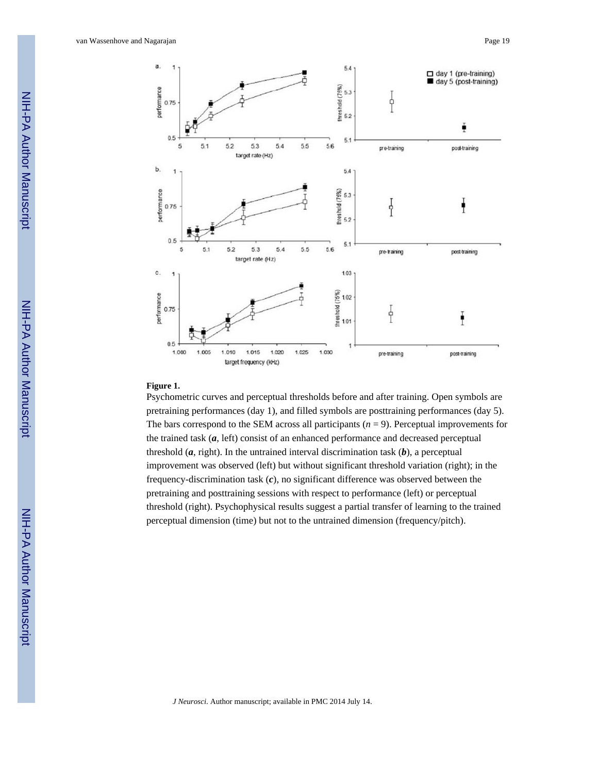

### **Figure 1.**

Psychometric curves and perceptual thresholds before and after training. Open symbols are pretraining performances (day 1), and filled symbols are posttraining performances (day 5). The bars correspond to the SEM across all participants  $(n = 9)$ . Perceptual improvements for the trained task (*a*, left) consist of an enhanced performance and decreased perceptual threshold  $(a, right)$ . In the untrained interval discrimination task  $(b)$ , a perceptual improvement was observed (left) but without significant threshold variation (right); in the frequency-discrimination task (*c*), no significant difference was observed between the pretraining and posttraining sessions with respect to performance (left) or perceptual threshold (right). Psychophysical results suggest a partial transfer of learning to the trained perceptual dimension (time) but not to the untrained dimension (frequency/pitch).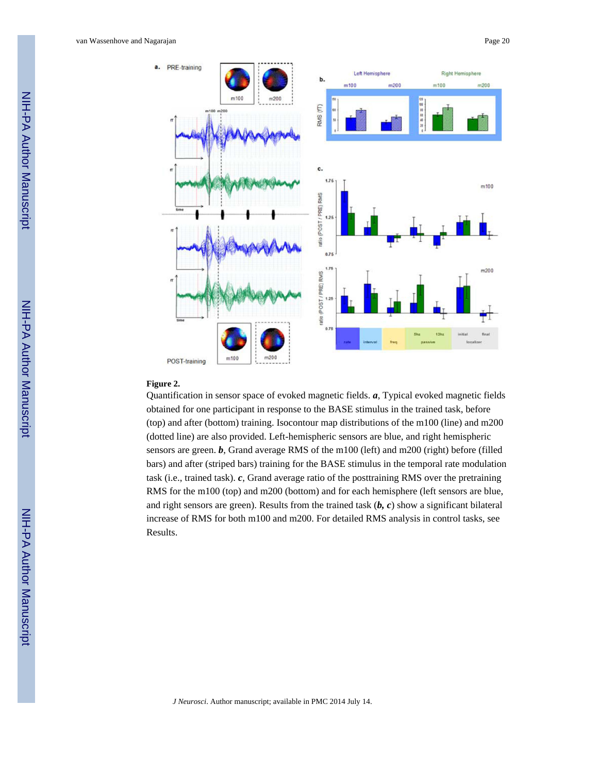van Wassenhove and Nagarajan Page 20



### **Figure 2.**

Quantification in sensor space of evoked magnetic fields. *a*, Typical evoked magnetic fields obtained for one participant in response to the BASE stimulus in the trained task, before (top) and after (bottom) training. Isocontour map distributions of the m100 (line) and m200 (dotted line) are also provided. Left-hemispheric sensors are blue, and right hemispheric sensors are green. *b*, Grand average RMS of the m100 (left) and m200 (right) before (filled bars) and after (striped bars) training for the BASE stimulus in the temporal rate modulation task (i.e., trained task). *c*, Grand average ratio of the posttraining RMS over the pretraining RMS for the m100 (top) and m200 (bottom) and for each hemisphere (left sensors are blue, and right sensors are green). Results from the trained task (*b, c*) show a significant bilateral increase of RMS for both m100 and m200. For detailed RMS analysis in control tasks, see Results.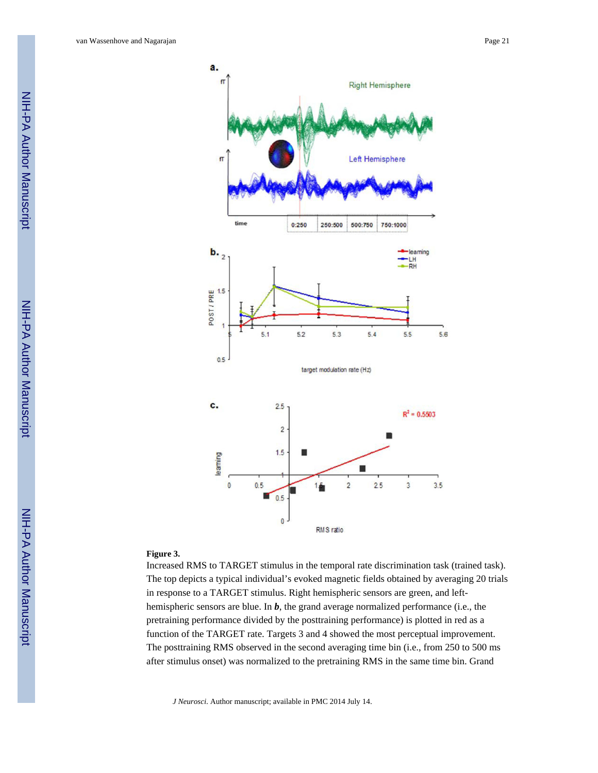

#### **Figure 3.**

Increased RMS to TARGET stimulus in the temporal rate discrimination task (trained task). The top depicts a typical individual's evoked magnetic fields obtained by averaging 20 trials in response to a TARGET stimulus. Right hemispheric sensors are green, and lefthemispheric sensors are blue. In *b*, the grand average normalized performance (i.e., the pretraining performance divided by the posttraining performance) is plotted in red as a function of the TARGET rate. Targets 3 and 4 showed the most perceptual improvement. The posttraining RMS observed in the second averaging time bin (i.e., from 250 to 500 ms after stimulus onset) was normalized to the pretraining RMS in the same time bin. Grand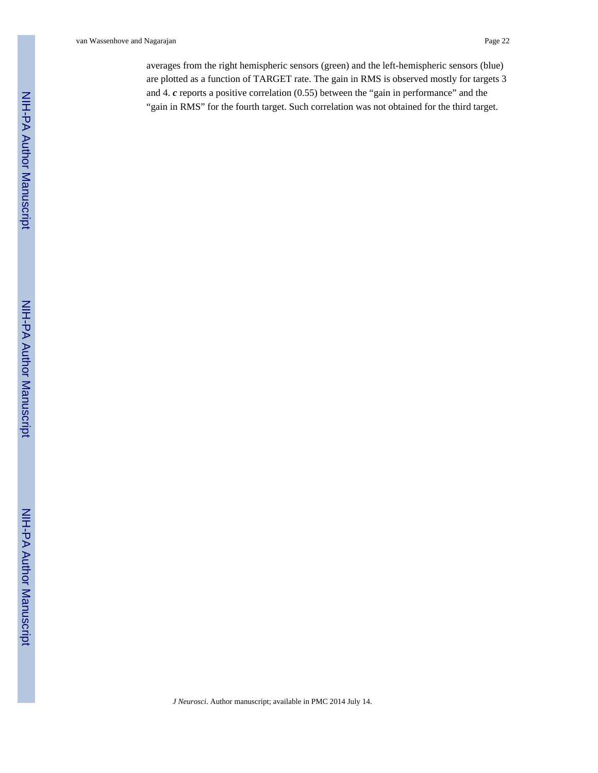van Wassenhove and Nagarajan Page 22

averages from the right hemispheric sensors (green) and the left-hemispheric sensors (blue) are plotted as a function of TARGET rate. The gain in RMS is observed mostly for targets 3 and 4. *c* reports a positive correlation (0.55) between the "gain in performance" and the "gain in RMS" for the fourth target. Such correlation was not obtained for the third target.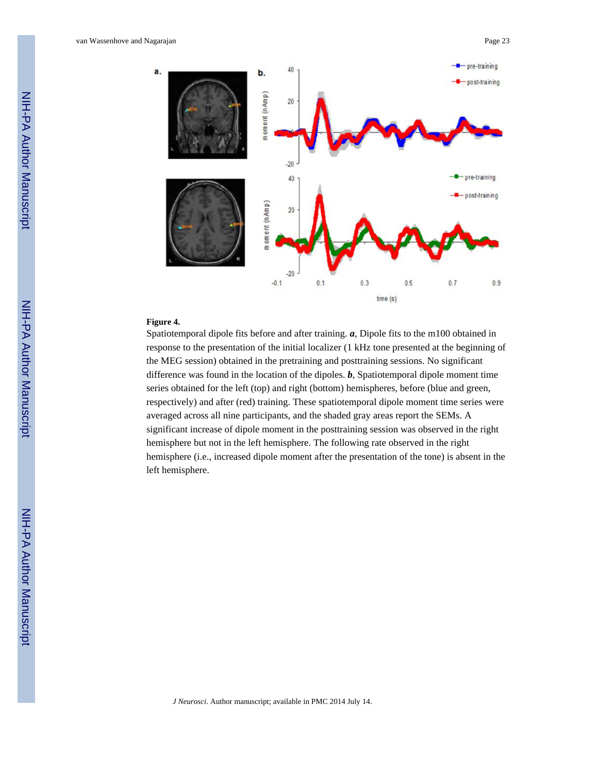

## **Figure 4.**

Spatiotemporal dipole fits before and after training. *a*, Dipole fits to the m100 obtained in response to the presentation of the initial localizer (1 kHz tone presented at the beginning of the MEG session) obtained in the pretraining and posttraining sessions. No significant difference was found in the location of the dipoles. *b*, Spatiotemporal dipole moment time series obtained for the left (top) and right (bottom) hemispheres, before (blue and green, respectively) and after (red) training. These spatiotemporal dipole moment time series were averaged across all nine participants, and the shaded gray areas report the SEMs. A significant increase of dipole moment in the posttraining session was observed in the right hemisphere but not in the left hemisphere. The following rate observed in the right hemisphere (i.e., increased dipole moment after the presentation of the tone) is absent in the left hemisphere.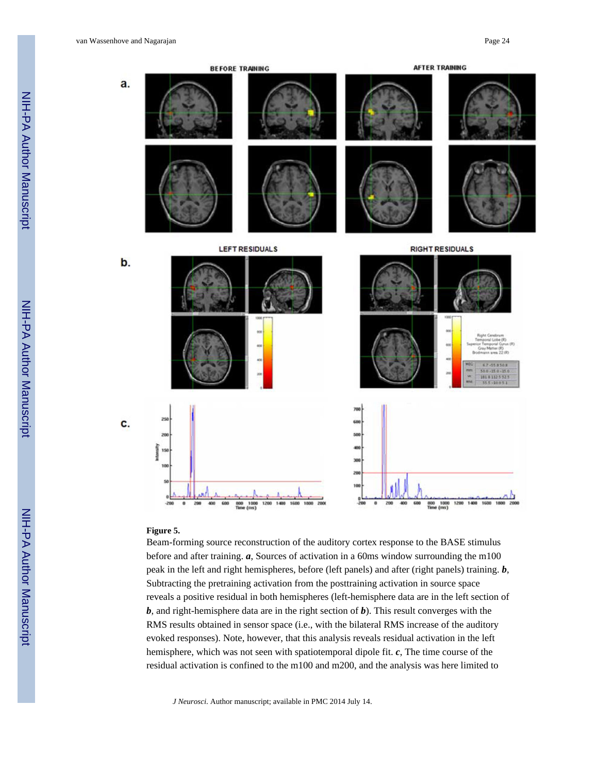

#### **Figure 5.**

Beam-forming source reconstruction of the auditory cortex response to the BASE stimulus before and after training. *a*, Sources of activation in a 60ms window surrounding the m100 peak in the left and right hemispheres, before (left panels) and after (right panels) training. *b*, Subtracting the pretraining activation from the posttraining activation in source space reveals a positive residual in both hemispheres (left-hemisphere data are in the left section of *b*, and right-hemisphere data are in the right section of *b*). This result converges with the RMS results obtained in sensor space (i.e., with the bilateral RMS increase of the auditory evoked responses). Note, however, that this analysis reveals residual activation in the left hemisphere, which was not seen with spatiotemporal dipole fit. *c*, The time course of the residual activation is confined to the m100 and m200, and the analysis was here limited to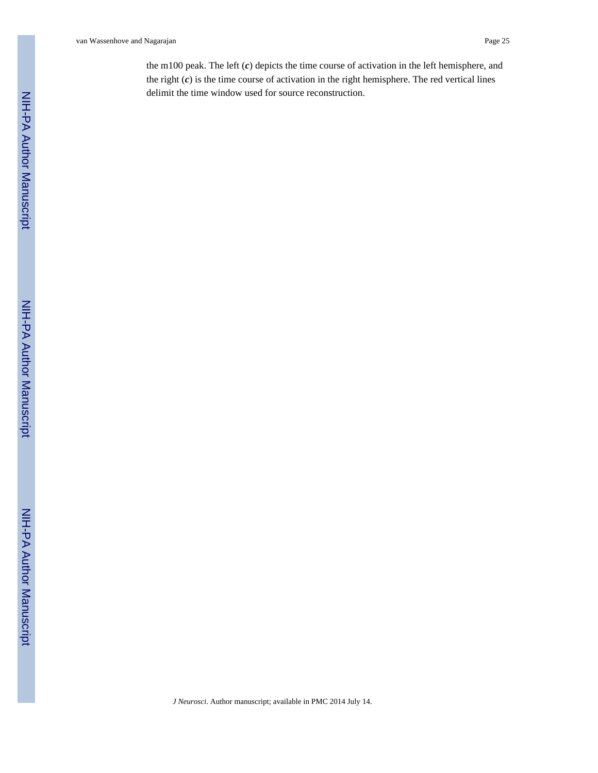van Wassenhove and Nagarajan Page 25

the m100 peak. The left (*c*) depicts the time course of activation in the left hemisphere, and the right (*c*) is the time course of activation in the right hemisphere. The red vertical lines delimit the time window used for source reconstruction.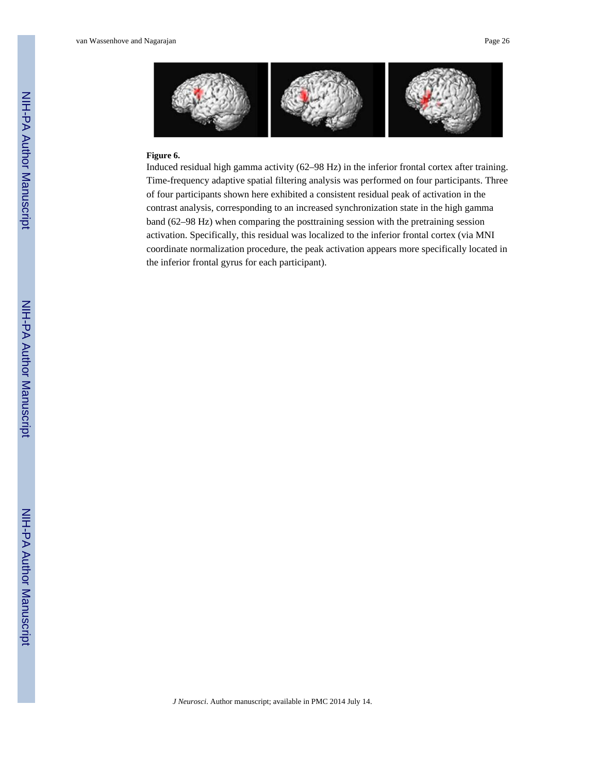

## **Figure 6.**

Induced residual high gamma activity (62–98 Hz) in the inferior frontal cortex after training. Time-frequency adaptive spatial filtering analysis was performed on four participants. Three of four participants shown here exhibited a consistent residual peak of activation in the contrast analysis, corresponding to an increased synchronization state in the high gamma band (62–98 Hz) when comparing the posttraining session with the pretraining session activation. Specifically, this residual was localized to the inferior frontal cortex (via MNI coordinate normalization procedure, the peak activation appears more specifically located in the inferior frontal gyrus for each participant).